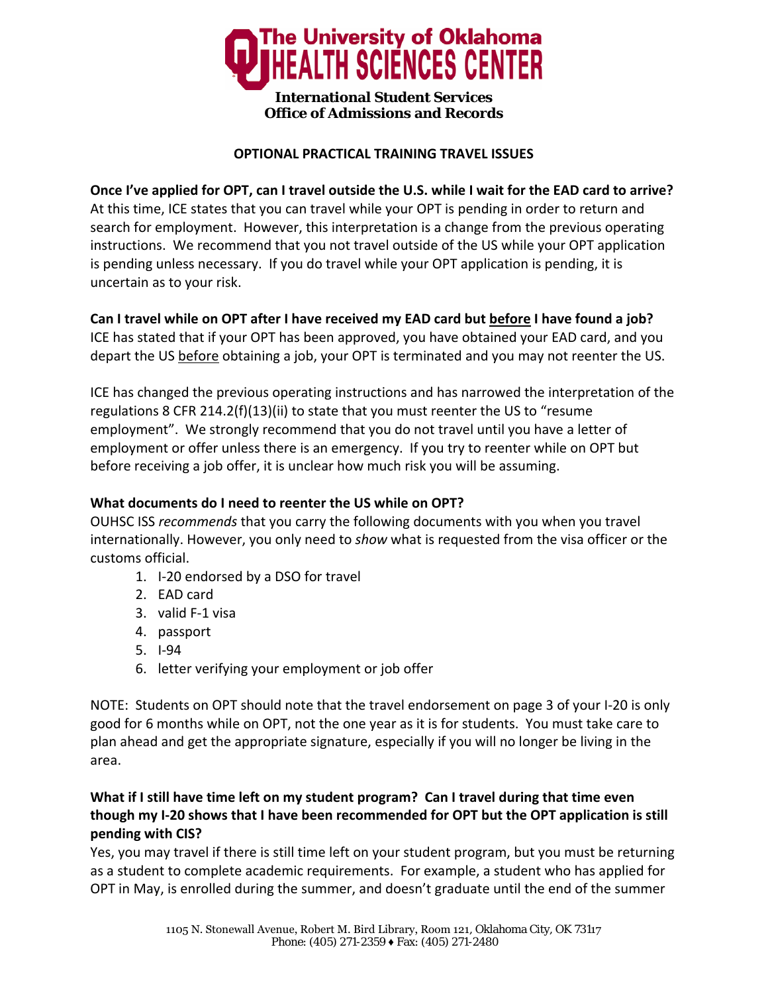

#### **OPTIONAL PRACTICAL TRAINING TRAVEL ISSUES**

Once I've applied for OPT, can I travel outside the U.S. while I wait for the EAD card to arrive? At this time, ICE states that you can travel while your OPT is pending in order to return and search for employment. However, this interpretation is a change from the previous operating instructions. We recommend that you not travel outside of the US while your OPT application is pending unless necessary. If you do travel while your OPT application is pending, it is uncertain as to your risk.

Can I travel while on OPT after I have received my EAD card but before I have found a job? ICE has stated that if your OPT has been approved, you have obtained your EAD card, and you depart the US before obtaining a job, your OPT is terminated and you may not reenter the US.

ICE has changed the previous operating instructions and has narrowed the interpretation of the regulations 8 CFR 214.2(f)(13)(ii) to state that you must reenter the US to "resume employment". We strongly recommend that you do not travel until you have a letter of employment or offer unless there is an emergency. If you try to reenter while on OPT but before receiving a job offer, it is unclear how much risk you will be assuming.

### **What documents do I need to reenter the US while on OPT?**

OUHSC ISS *recommends* that you carry the following documents with you when you travel internationally. However, you only need to *show* what is requested from the visa officer or the customs official.

- 1. I‐20 endorsed by a DSO for travel
- 2. EAD card
- 3. valid F‐1 visa
- 4. passport
- 5. I‐94
- 6. letter verifying your employment or job offer

NOTE: Students on OPT should note that the travel endorsement on page 3 of your I‐20 is only good for 6 months while on OPT, not the one year as it is for students. You must take care to plan ahead and get the appropriate signature, especially if you will no longer be living in the area.

# **What if I still have time left on my student program? Can I travel during that time even though my I‐20 shows that I have been recommended for OPT but the OPT application is still pending with CIS?**

Yes, you may travel if there is still time left on your student program, but you must be returning as a student to complete academic requirements. For example, a student who has applied for OPT in May, is enrolled during the summer, and doesn't graduate until the end of the summer